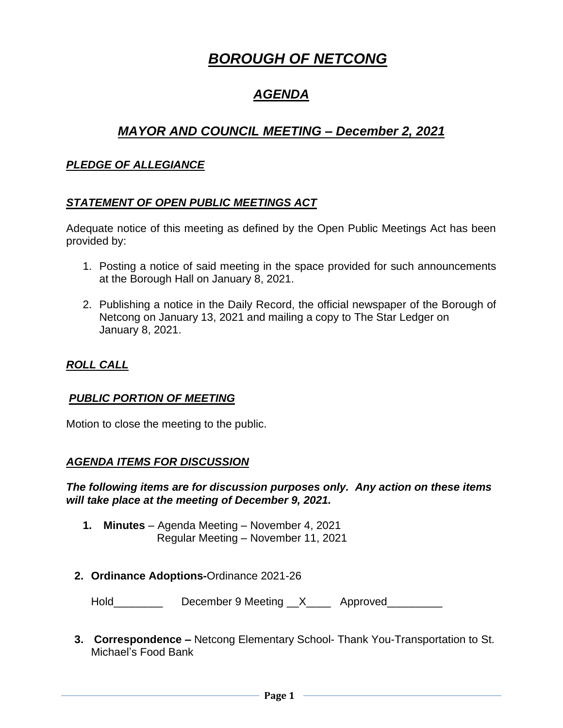# *BOROUGH OF NETCONG*

# *AGENDA*

# *MAYOR AND COUNCIL MEETING – December 2, 2021*

#### *PLEDGE OF ALLEGIANCE*

#### *STATEMENT OF OPEN PUBLIC MEETINGS ACT*

Adequate notice of this meeting as defined by the Open Public Meetings Act has been provided by:

- 1. Posting a notice of said meeting in the space provided for such announcements at the Borough Hall on January 8, 2021.
- 2. Publishing a notice in the Daily Record, the official newspaper of the Borough of Netcong on January 13, 2021 and mailing a copy to The Star Ledger on January 8, 2021.

## *ROLL CALL*

#### *PUBLIC PORTION OF MEETING*

Motion to close the meeting to the public.

#### *AGENDA ITEMS FOR DISCUSSION*

*The following items are for discussion purposes only. Any action on these items will take place at the meeting of December 9, 2021.*

- **1. Minutes** Agenda Meeting November 4, 2021 Regular Meeting – November 11, 2021
- **2. Ordinance Adoptions-**Ordinance 2021-26

Hold\_\_\_\_\_\_\_\_\_\_\_\_ December 9 Meeting \_\_X\_\_\_\_\_ Approved\_\_\_\_\_\_\_\_\_

**3. Correspondence –** Netcong Elementary School- Thank You-Transportation to St. Michael's Food Bank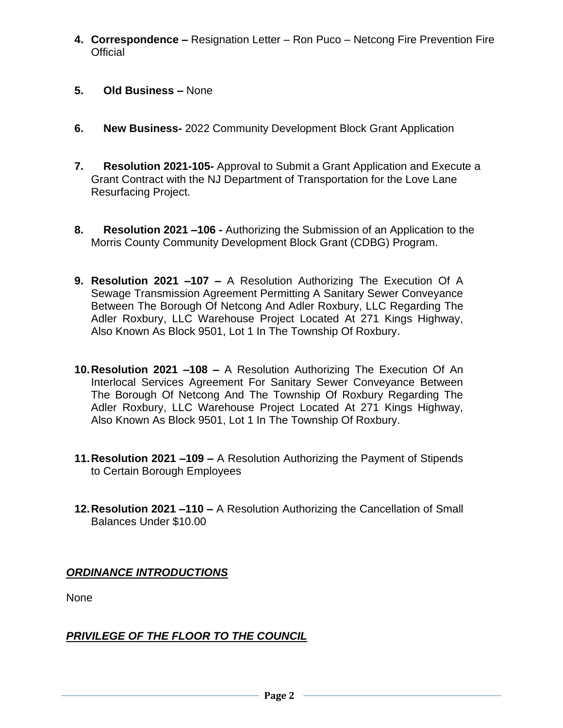- **4. Correspondence –** Resignation Letter Ron Puco Netcong Fire Prevention Fire **Official**
- **5. Old Business –** None
- **6. New Business-** 2022 Community Development Block Grant Application
- **7. Resolution 2021-105-** Approval to Submit a Grant Application and Execute a Grant Contract with the NJ Department of Transportation for the Love Lane Resurfacing Project.
- **8. Resolution 2021 –106 -** Authorizing the Submission of an Application to the Morris County Community Development Block Grant (CDBG) Program.
- **9. Resolution 2021 –107 –** A Resolution Authorizing The Execution Of A Sewage Transmission Agreement Permitting A Sanitary Sewer Conveyance Between The Borough Of Netcong And Adler Roxbury, LLC Regarding The Adler Roxbury, LLC Warehouse Project Located At 271 Kings Highway, Also Known As Block 9501, Lot 1 In The Township Of Roxbury.
- **10.Resolution 2021 –108 –** A Resolution Authorizing The Execution Of An Interlocal Services Agreement For Sanitary Sewer Conveyance Between The Borough Of Netcong And The Township Of Roxbury Regarding The Adler Roxbury, LLC Warehouse Project Located At 271 Kings Highway, Also Known As Block 9501, Lot 1 In The Township Of Roxbury.
- **11.Resolution 2021 –109 –** A Resolution Authorizing the Payment of Stipends to Certain Borough Employees
- **12.Resolution 2021 –110 –** A Resolution Authorizing the Cancellation of Small Balances Under \$10.00

# *ORDINANCE INTRODUCTIONS*

None

# *PRIVILEGE OF THE FLOOR TO THE COUNCIL*